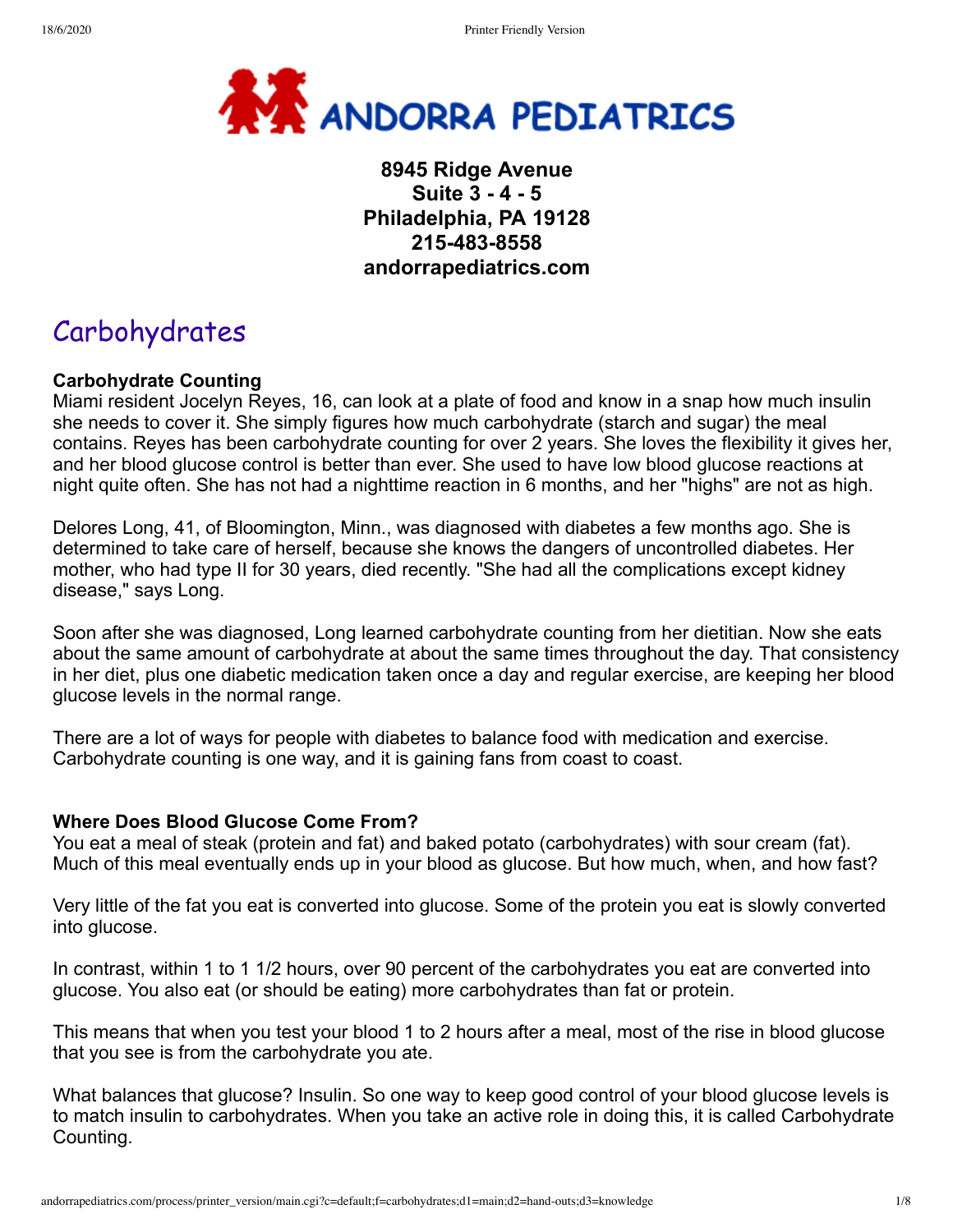

# **8945 Ridge Avenue Suite 3 - 4 - 5 Philadelphia, PA 19128 215-483-8558 andorrapediatrics.com**

# Carbohydrates

## **Carbohydrate Counting**

Miami resident Jocelyn Reyes, 16, can look at a plate of food and know in a snap how much insulin she needs to cover it. She simply figures how much carbohydrate (starch and sugar) the meal contains. Reyes has been carbohydrate counting for over 2 years. She loves the flexibility it gives her, and her blood glucose control is better than ever. She used to have low blood glucose reactions at night quite often. She has not had a nighttime reaction in 6 months, and her "highs" are not as high.

Delores Long, 41, of Bloomington, Minn., was diagnosed with diabetes a few months ago. She is determined to take care of herself, because she knows the dangers of uncontrolled diabetes. Her mother, who had type II for 30 years, died recently. "She had all the complications except kidney disease," says Long.

Soon after she was diagnosed, Long learned carbohydrate counting from her dietitian. Now she eats about the same amount of carbohydrate at about the same times throughout the day. That consistency in her diet, plus one diabetic medication taken once a day and regular exercise, are keeping her blood glucose levels in the normal range.

There are a lot of ways for people with diabetes to balance food with medication and exercise. Carbohydrate counting is one way, and it is gaining fans from coast to coast.

#### **Where Does Blood Glucose Come From?**

You eat a meal of steak (protein and fat) and baked potato (carbohydrates) with sour cream (fat). Much of this meal eventually ends up in your blood as glucose. But how much, when, and how fast?

Very little of the fat you eat is converted into glucose. Some of the protein you eat is slowly converted into glucose.

In contrast, within 1 to 1 1/2 hours, over 90 percent of the carbohydrates you eat are converted into glucose. You also eat (or should be eating) more carbohydrates than fat or protein.

This means that when you test your blood 1 to 2 hours after a meal, most of the rise in blood glucose that you see is from the carbohydrate you ate.

What balances that glucose? Insulin. So one way to keep good control of your blood glucose levels is to match insulin to carbohydrates. When you take an active role in doing this, it is called Carbohydrate Counting.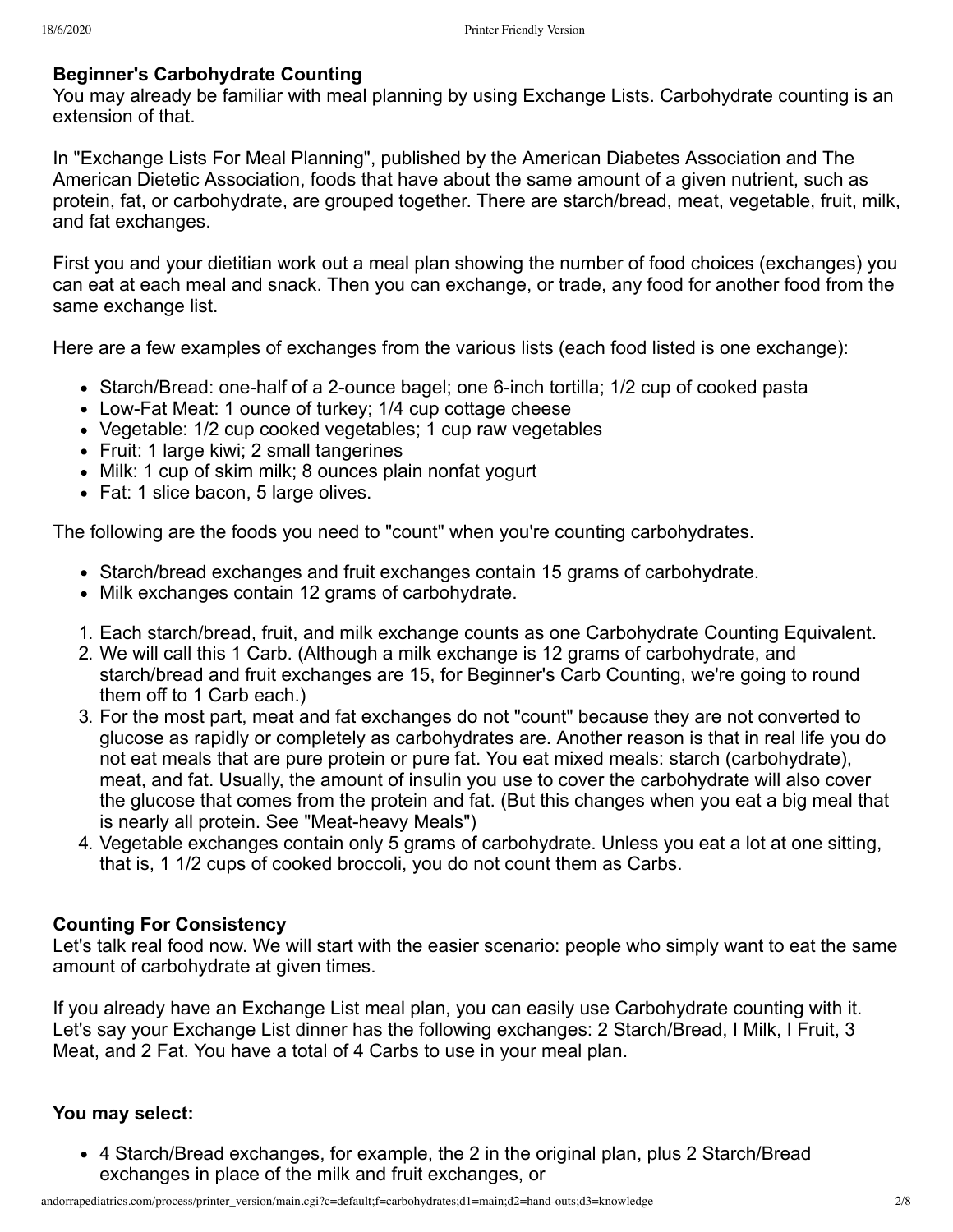#### **Beginner's Carbohydrate Counting**

You may already be familiar with meal planning by using Exchange Lists. Carbohydrate counting is an extension of that.

In "Exchange Lists For Meal Planning", published by the American Diabetes Association and The American Dietetic Association, foods that have about the same amount of a given nutrient, such as protein, fat, or carbohydrate, are grouped together. There are starch/bread, meat, vegetable, fruit, milk, and fat exchanges.

First you and your dietitian work out a meal plan showing the number of food choices (exchanges) you can eat at each meal and snack. Then you can exchange, or trade, any food for another food from the same exchange list.

Here are a few examples of exchanges from the various lists (each food listed is one exchange):

- Starch/Bread: one-half of a 2-ounce bagel; one 6-inch tortilla; 1/2 cup of cooked pasta
- Low-Fat Meat: 1 ounce of turkey; 1/4 cup cottage cheese
- Vegetable: 1/2 cup cooked vegetables; 1 cup raw vegetables
- Fruit: 1 large kiwi; 2 small tangerines
- Milk: 1 cup of skim milk; 8 ounces plain nonfat yogurt
- Fat: 1 slice bacon, 5 large olives.

The following are the foods you need to "count" when you're counting carbohydrates.

- Starch/bread exchanges and fruit exchanges contain 15 grams of carbohydrate.
- Milk exchanges contain 12 grams of carbohydrate.
- 1. Each starch/bread, fruit, and milk exchange counts as one Carbohydrate Counting Equivalent.
- 2. We will call this 1 Carb. (Although a milk exchange is 12 grams of carbohydrate, and starch/bread and fruit exchanges are 15, for Beginner's Carb Counting, we're going to round them off to 1 Carb each.)
- 3. For the most part, meat and fat exchanges do not "count" because they are not converted to glucose as rapidly or completely as carbohydrates are. Another reason is that in real life you do not eat meals that are pure protein or pure fat. You eat mixed meals: starch (carbohydrate), meat, and fat. Usually, the amount of insulin you use to cover the carbohydrate will also cover the glucose that comes from the protein and fat. (But this changes when you eat a big meal that is nearly all protein. See "Meat-heavy Meals")
- 4. Vegetable exchanges contain only 5 grams of carbohydrate. Unless you eat a lot at one sitting, that is, 1 1/2 cups of cooked broccoli, you do not count them as Carbs.

## **Counting For Consistency**

Let's talk real food now. We will start with the easier scenario: people who simply want to eat the same amount of carbohydrate at given times.

If you already have an Exchange List meal plan, you can easily use Carbohydrate counting with it. Let's say your Exchange List dinner has the following exchanges: 2 Starch/Bread, I Milk, I Fruit, 3 Meat, and 2 Fat. You have a total of 4 Carbs to use in your meal plan.

## **You may select:**

4 Starch/Bread exchanges, for example, the 2 in the original plan, plus 2 Starch/Bread exchanges in place of the milk and fruit exchanges, or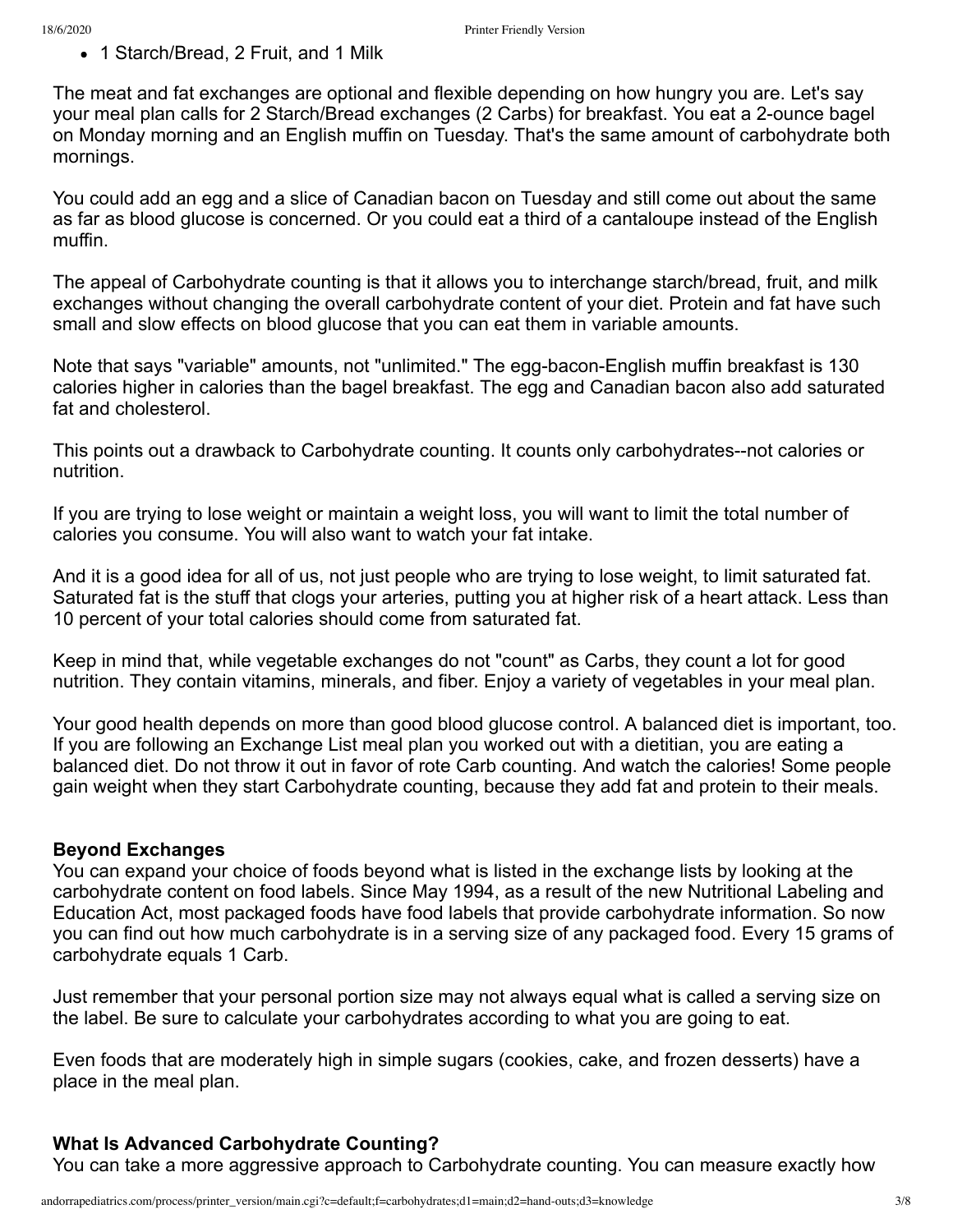• 1 Starch/Bread, 2 Fruit, and 1 Milk

The meat and fat exchanges are optional and flexible depending on how hungry you are. Let's say your meal plan calls for 2 Starch/Bread exchanges (2 Carbs) for breakfast. You eat a 2-ounce bagel on Monday morning and an English muffin on Tuesday. That's the same amount of carbohydrate both mornings.

You could add an egg and a slice of Canadian bacon on Tuesday and still come out about the same as far as blood glucose is concerned. Or you could eat a third of a cantaloupe instead of the English muffin.

The appeal of Carbohydrate counting is that it allows you to interchange starch/bread, fruit, and milk exchanges without changing the overall carbohydrate content of your diet. Protein and fat have such small and slow effects on blood glucose that you can eat them in variable amounts.

Note that says "variable" amounts, not "unlimited." The egg-bacon-English muffin breakfast is 130 calories higher in calories than the bagel breakfast. The egg and Canadian bacon also add saturated fat and cholesterol.

This points out a drawback to Carbohydrate counting. It counts only carbohydrates--not calories or nutrition.

If you are trying to lose weight or maintain a weight loss, you will want to limit the total number of calories you consume. You will also want to watch your fat intake.

And it is a good idea for all of us, not just people who are trying to lose weight, to limit saturated fat. Saturated fat is the stuff that clogs your arteries, putting you at higher risk of a heart attack. Less than 10 percent of your total calories should come from saturated fat.

Keep in mind that, while vegetable exchanges do not "count" as Carbs, they count a lot for good nutrition. They contain vitamins, minerals, and fiber. Enjoy a variety of vegetables in your meal plan.

Your good health depends on more than good blood glucose control. A balanced diet is important, too. If you are following an Exchange List meal plan you worked out with a dietitian, you are eating a balanced diet. Do not throw it out in favor of rote Carb counting. And watch the calories! Some people gain weight when they start Carbohydrate counting, because they add fat and protein to their meals.

## **Beyond Exchanges**

You can expand your choice of foods beyond what is listed in the exchange lists by looking at the carbohydrate content on food labels. Since May 1994, as a result of the new Nutritional Labeling and Education Act, most packaged foods have food labels that provide carbohydrate information. So now you can find out how much carbohydrate is in a serving size of any packaged food. Every 15 grams of carbohydrate equals 1 Carb.

Just remember that your personal portion size may not always equal what is called a serving size on the label. Be sure to calculate your carbohydrates according to what you are going to eat.

Even foods that are moderately high in simple sugars (cookies, cake, and frozen desserts) have a place in the meal plan.

## **What Is Advanced Carbohydrate Counting?**

You can take a more aggressive approach to Carbohydrate counting. You can measure exactly how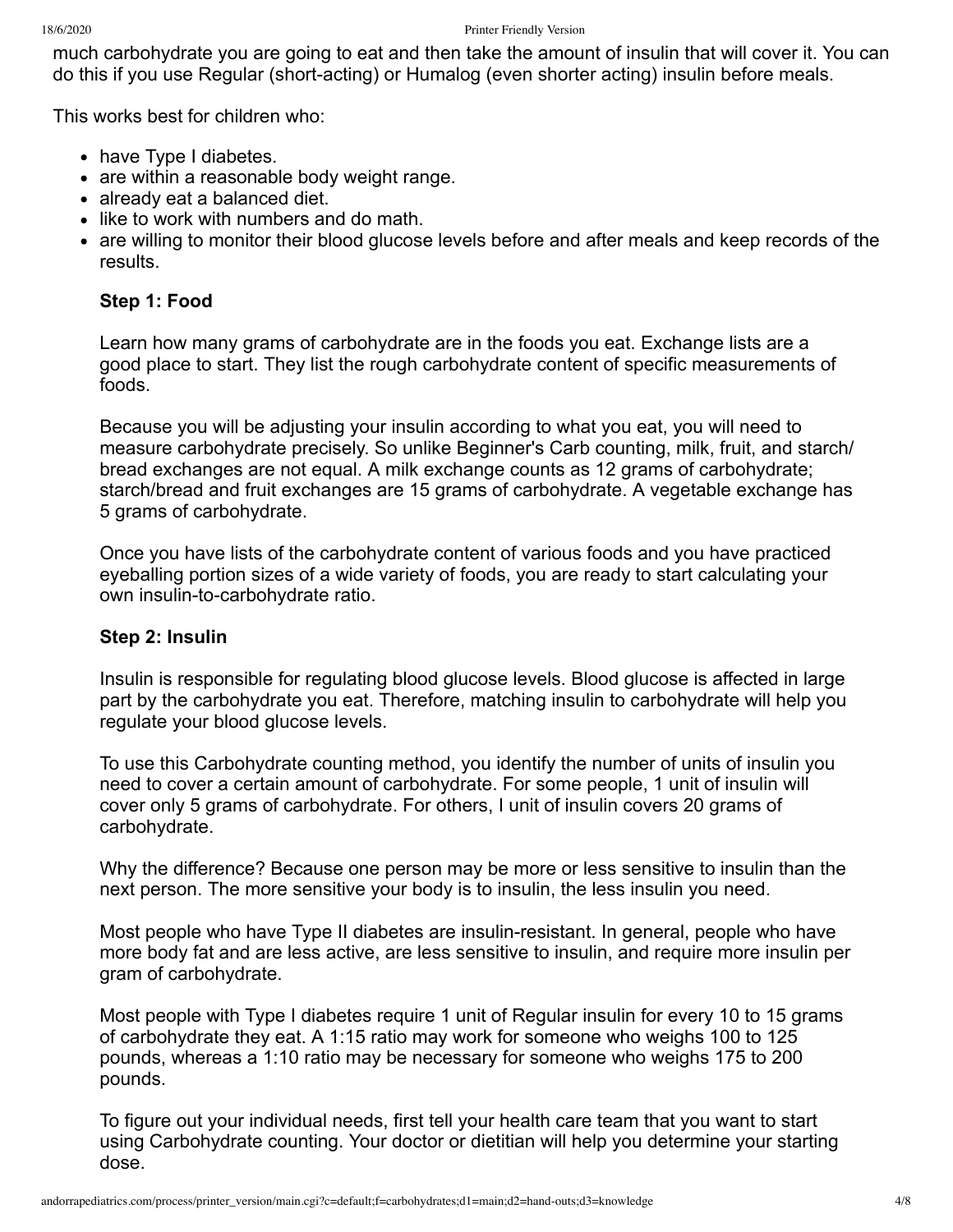much carbohydrate you are going to eat and then take the amount of insulin that will cover it. You can do this if you use Regular (short-acting) or Humalog (even shorter acting) insulin before meals.

This works best for children who:

- have Type I diabetes.
- are within a reasonable body weight range.
- already eat a balanced diet.
- like to work with numbers and do math.
- are willing to monitor their blood glucose levels before and after meals and keep records of the results.

## **Step 1: Food**

Learn how many grams of carbohydrate are in the foods you eat. Exchange lists are a good place to start. They list the rough carbohydrate content of specific measurements of foods.

Because you will be adjusting your insulin according to what you eat, you will need to measure carbohydrate precisely. So unlike Beginner's Carb counting, milk, fruit, and starch/ bread exchanges are not equal. A milk exchange counts as 12 grams of carbohydrate; starch/bread and fruit exchanges are 15 grams of carbohydrate. A vegetable exchange has 5 grams of carbohydrate.

Once you have lists of the carbohydrate content of various foods and you have practiced eyeballing portion sizes of a wide variety of foods, you are ready to start calculating your own insulin-to-carbohydrate ratio.

## **Step 2: Insulin**

Insulin is responsible for regulating blood glucose levels. Blood glucose is affected in large part by the carbohydrate you eat. Therefore, matching insulin to carbohydrate will help you regulate your blood glucose levels.

To use this Carbohydrate counting method, you identify the number of units of insulin you need to cover a certain amount of carbohydrate. For some people, 1 unit of insulin will cover only 5 grams of carbohydrate. For others, I unit of insulin covers 20 grams of carbohydrate.

Why the difference? Because one person may be more or less sensitive to insulin than the next person. The more sensitive your body is to insulin, the less insulin you need.

Most people who have Type II diabetes are insulin-resistant. In general, people who have more body fat and are less active, are less sensitive to insulin, and require more insulin per gram of carbohydrate.

Most people with Type I diabetes require 1 unit of Regular insulin for every 10 to 15 grams of carbohydrate they eat. A 1:15 ratio may work for someone who weighs 100 to 125 pounds, whereas a 1:10 ratio may be necessary for someone who weighs 175 to 200 pounds.

To figure out your individual needs, first tell your health care team that you want to start using Carbohydrate counting. Your doctor or dietitian will help you determine your starting dose.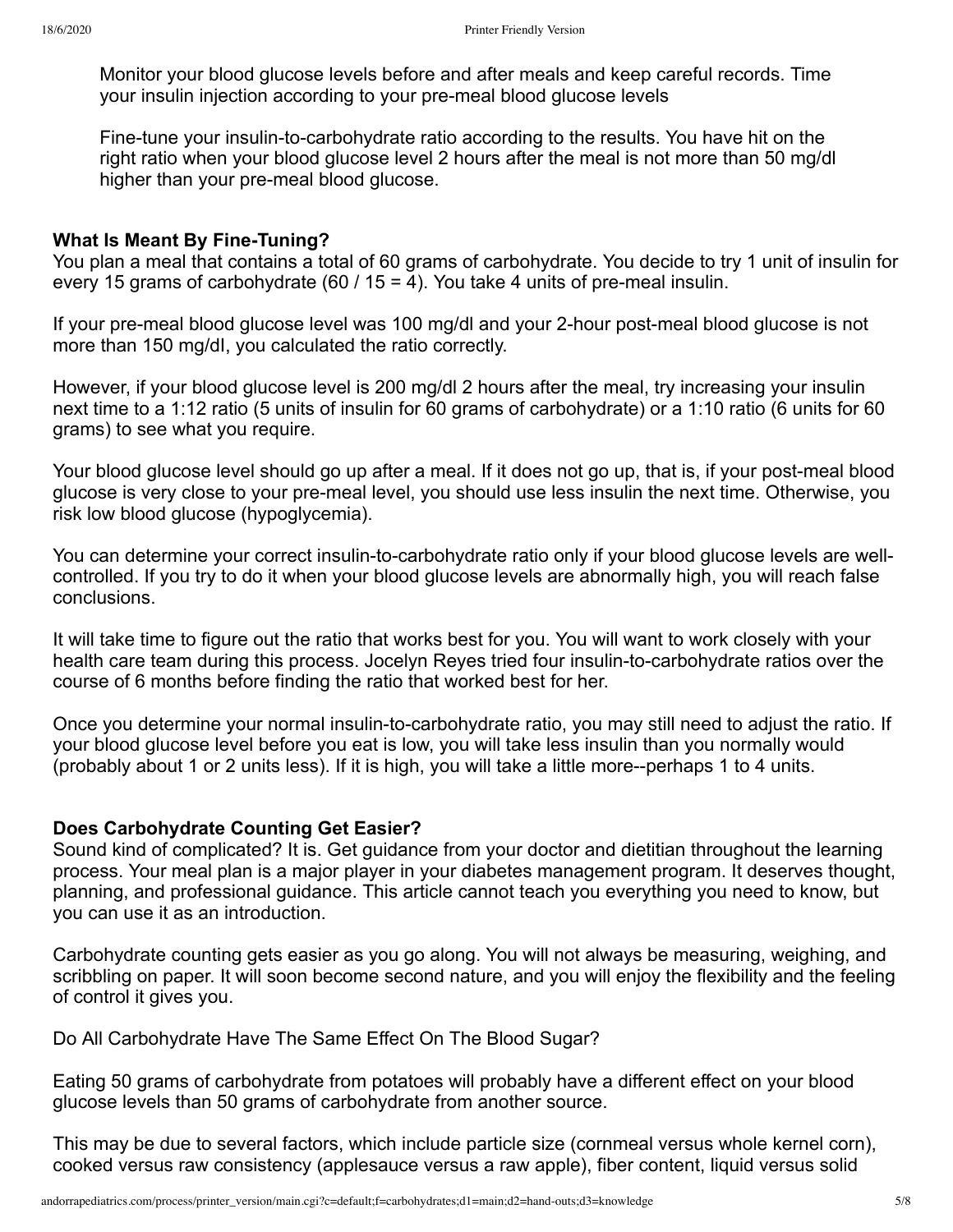Monitor your blood glucose levels before and after meals and keep careful records. Time your insulin injection according to your pre-meal blood glucose levels

Fine-tune your insulin-to-carbohydrate ratio according to the results. You have hit on the right ratio when your blood glucose level 2 hours after the meal is not more than 50 mg/dl higher than your pre-meal blood glucose.

#### **What Is Meant By Fine-Tuning?**

You plan a meal that contains a total of 60 grams of carbohydrate. You decide to try 1 unit of insulin for every 15 grams of carbohydrate (60 / 15 = 4). You take 4 units of pre-meal insulin.

If your pre-meal blood glucose level was 100 mg/dl and your 2-hour post-meal blood glucose is not more than 150 mg/dI, you calculated the ratio correctly.

However, if your blood glucose level is 200 mg/dl 2 hours after the meal, try increasing your insulin next time to a 1:12 ratio (5 units of insulin for 60 grams of carbohydrate) or a 1:10 ratio (6 units for 60 grams) to see what you require.

Your blood glucose level should go up after a meal. If it does not go up, that is, if your post-meal blood glucose is very close to your pre-meal level, you should use less insulin the next time. Otherwise, you risk low blood glucose (hypoglycemia).

You can determine your correct insulin-to-carbohydrate ratio only if your blood glucose levels are wellcontrolled. If you try to do it when your blood glucose levels are abnormally high, you will reach false conclusions.

It will take time to figure out the ratio that works best for you. You will want to work closely with your health care team during this process. Jocelyn Reyes tried four insulin-to-carbohydrate ratios over the course of 6 months before finding the ratio that worked best for her.

Once you determine your normal insulin-to-carbohydrate ratio, you may still need to adjust the ratio. If your blood glucose level before you eat is low, you will take less insulin than you normally would (probably about 1 or 2 units less). If it is high, you will take a little more--perhaps 1 to 4 units.

#### **Does Carbohydrate Counting Get Easier?**

Sound kind of complicated? It is. Get guidance from your doctor and dietitian throughout the learning process. Your meal plan is a major player in your diabetes management program. It deserves thought, planning, and professional guidance. This article cannot teach you everything you need to know, but you can use it as an introduction.

Carbohydrate counting gets easier as you go along. You will not always be measuring, weighing, and scribbling on paper. It will soon become second nature, and you will enjoy the flexibility and the feeling of control it gives you.

Do All Carbohydrate Have The Same Effect On The Blood Sugar?

Eating 50 grams of carbohydrate from potatoes will probably have a different effect on your blood glucose levels than 50 grams of carbohydrate from another source.

This may be due to several factors, which include particle size (cornmeal versus whole kernel corn), cooked versus raw consistency (applesauce versus a raw apple), fiber content, liquid versus solid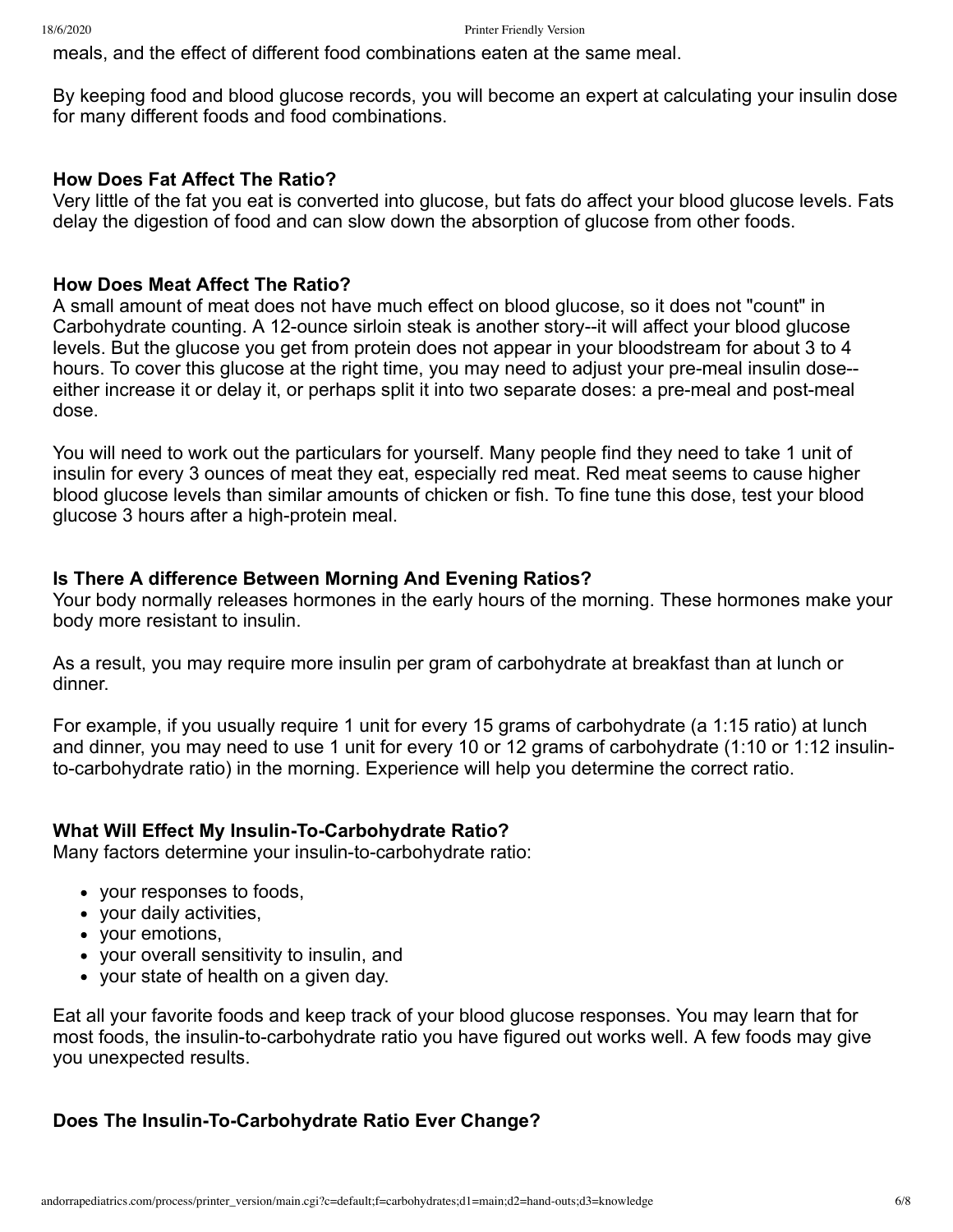meals, and the effect of different food combinations eaten at the same meal.

By keeping food and blood glucose records, you will become an expert at calculating your insulin dose for many different foods and food combinations.

#### **How Does Fat Affect The Ratio?**

Very little of the fat you eat is converted into glucose, but fats do affect your blood glucose levels. Fats delay the digestion of food and can slow down the absorption of glucose from other foods.

#### **How Does Meat Affect The Ratio?**

A small amount of meat does not have much effect on blood glucose, so it does not "count" in Carbohydrate counting. A 12-ounce sirloin steak is another story--it will affect your blood glucose levels. But the glucose you get from protein does not appear in your bloodstream for about 3 to 4 hours. To cover this glucose at the right time, you may need to adjust your pre-meal insulin dose- either increase it or delay it, or perhaps split it into two separate doses: a pre-meal and post-meal dose.

You will need to work out the particulars for yourself. Many people find they need to take 1 unit of insulin for every 3 ounces of meat they eat, especially red meat. Red meat seems to cause higher blood glucose levels than similar amounts of chicken or fish. To fine tune this dose, test your blood glucose 3 hours after a high-protein meal.

#### **Is There A difference Between Morning And Evening Ratios?**

Your body normally releases hormones in the early hours of the morning. These hormones make your body more resistant to insulin.

As a result, you may require more insulin per gram of carbohydrate at breakfast than at lunch or dinner.

For example, if you usually require 1 unit for every 15 grams of carbohydrate (a 1:15 ratio) at lunch and dinner, you may need to use 1 unit for every 10 or 12 grams of carbohydrate (1:10 or 1:12 insulinto-carbohydrate ratio) in the morning. Experience will help you determine the correct ratio.

#### **What Will Effect My Insulin-To-Carbohydrate Ratio?**

Many factors determine your insulin-to-carbohydrate ratio:

- your responses to foods,
- your daily activities,
- vour emotions.
- your overall sensitivity to insulin, and
- your state of health on a given day.

Eat all your favorite foods and keep track of your blood glucose responses. You may learn that for most foods, the insulin-to-carbohydrate ratio you have figured out works well. A few foods may give you unexpected results.

#### **Does The Insulin-To-Carbohydrate Ratio Ever Change?**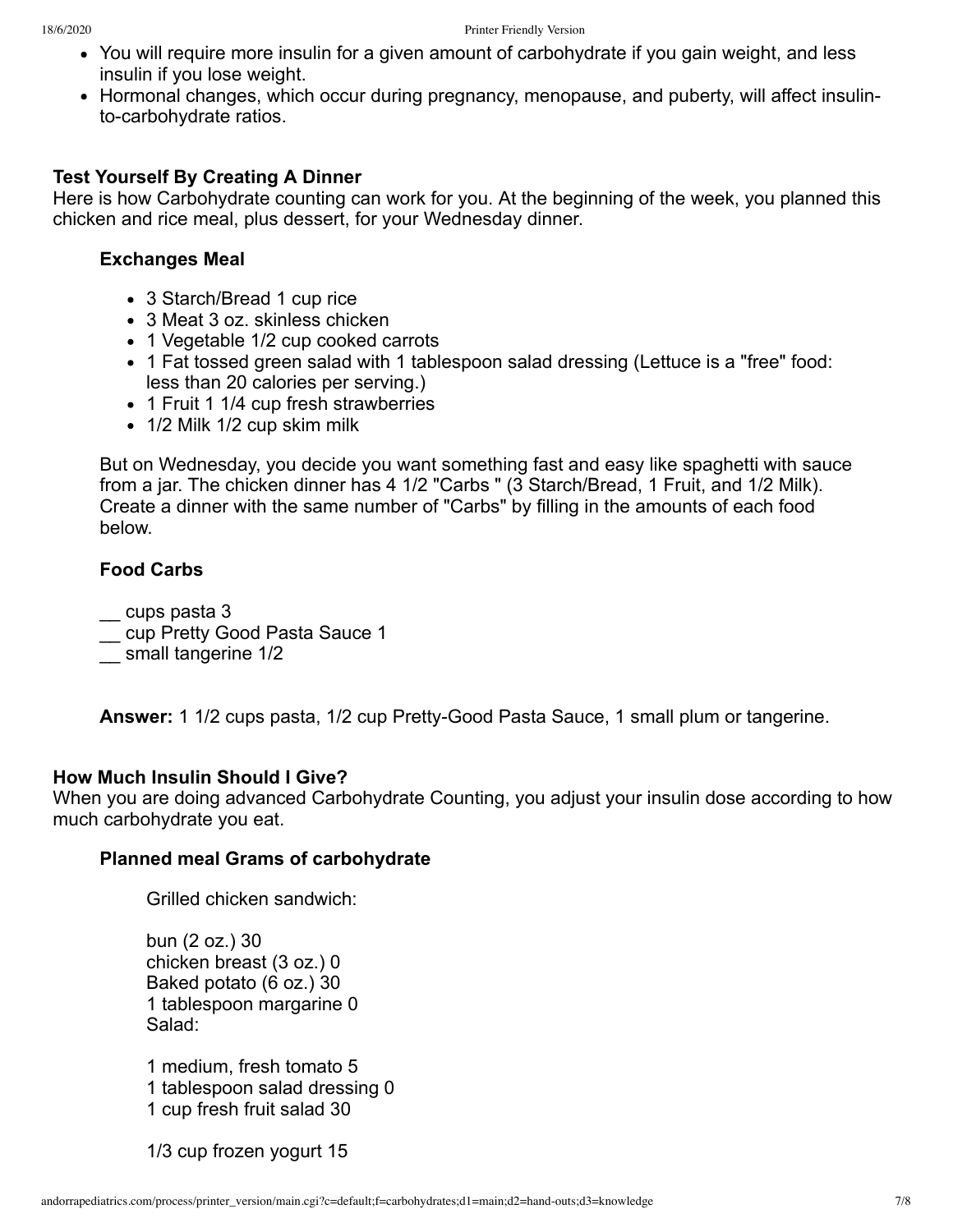- You will require more insulin for a given amount of carbohydrate if you gain weight, and less insulin if you lose weight.
- Hormonal changes, which occur during pregnancy, menopause, and puberty, will affect insulinto-carbohydrate ratios.

#### **Test Yourself By Creating A Dinner**

Here is how Carbohydrate counting can work for you. At the beginning of the week, you planned this chicken and rice meal, plus dessert, for your Wednesday dinner.

#### **Exchanges Meal**

- 3 Starch/Bread 1 cup rice
- 3 Meat 3 oz. skinless chicken
- 1 Vegetable 1/2 cup cooked carrots
- 1 Fat tossed green salad with 1 tablespoon salad dressing (Lettuce is a "free" food: less than 20 calories per serving.)
- 1 Fruit 1 1/4 cup fresh strawberries
- 1/2 Milk 1/2 cup skim milk

But on Wednesday, you decide you want something fast and easy like spaghetti with sauce from a jar. The chicken dinner has 4 1/2 "Carbs " (3 Starch/Bread, 1 Fruit, and 1/2 Milk). Create a dinner with the same number of "Carbs" by filling in the amounts of each food below.

#### **Food Carbs**

\_\_ cups pasta 3

- \_\_ cup Pretty Good Pasta Sauce 1
- \_\_ small tangerine 1/2

**Answer:** 1 1/2 cups pasta, 1/2 cup Pretty-Good Pasta Sauce, 1 small plum or tangerine.

#### **How Much Insulin Should I Give?**

When you are doing advanced Carbohydrate Counting, you adjust your insulin dose according to how much carbohydrate you eat.

#### **Planned meal Grams of carbohydrate**

Grilled chicken sandwich:

bun (2 oz.) 30 chicken breast (3 oz.) 0 Baked potato (6 oz.) 30 1 tablespoon margarine 0 Salad:

1 medium, fresh tomato 5 1 tablespoon salad dressing 0 1 cup fresh fruit salad 30

1/3 cup frozen yogurt 15